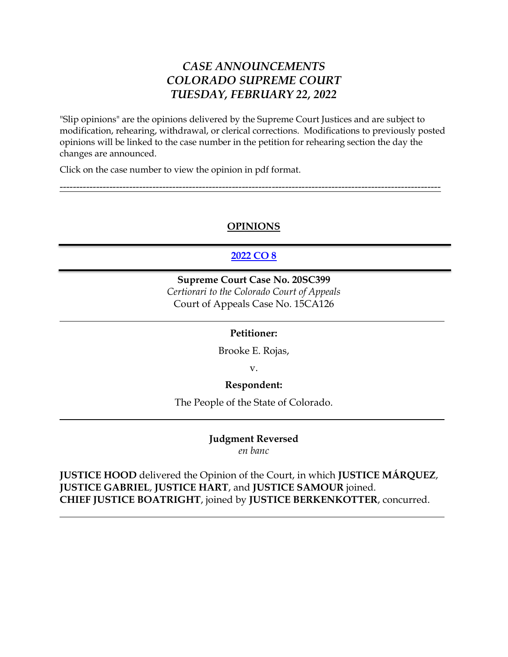# *CASE ANNOUNCEMENTS COLORADO SUPREME COURT TUESDAY, FEBRUARY 22, 2022*

"Slip opinions" are the opinions delivered by the Supreme Court Justices and are subject to modification, rehearing, withdrawal, or clerical corrections. Modifications to previously posted opinions will be linked to the case number in the petition for rehearing section the day the changes are announced.

Click on the case number to view the opinion in pdf format.

# **OPINIONS**

-------------------------------------------------------------------------------------------------------------------

# **[2022 CO 8](https://www.courts.state.co.us/userfiles/file/Court_Probation/Supreme_Court/Opinions/2020/20SC399.pdf)**

# **Supreme Court Case No. 20SC399**

*Certiorari to the Colorado Court of Appeals* Court of Appeals Case No. 15CA126

#### **Petitioner:**

Brooke E. Rojas,

v.

#### **Respondent:**

The People of the State of Colorado.

**Judgment Reversed**  *en banc*

**JUSTICE HOOD** delivered the Opinion of the Court, in which **JUSTICE MÁRQUEZ**, **JUSTICE GABRIEL**, **JUSTICE HART**, and **JUSTICE SAMOUR** joined. **CHIEF JUSTICE BOATRIGHT**, joined by **JUSTICE BERKENKOTTER**, concurred.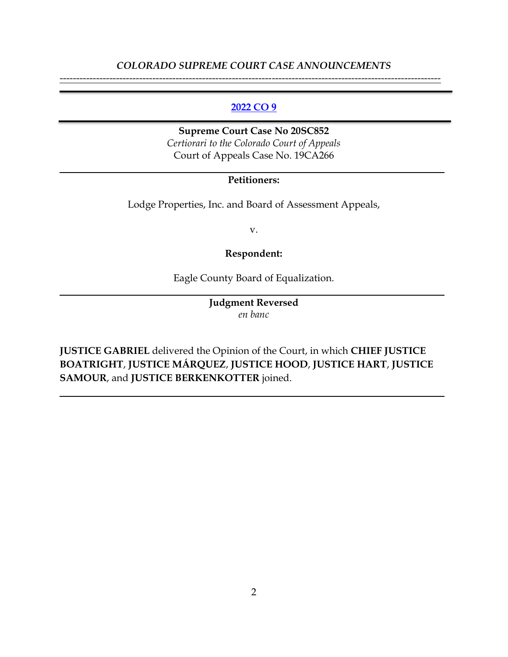# *COLORADO SUPREME COURT CASE ANNOUNCEMENTS* -------------------------------------------------------------------------------------------------------------------

### **[2022 CO 9](https://www.courts.state.co.us/userfiles/file/Court_Probation/Supreme_Court/Opinions/2020/20sc852.pdf)**

**Supreme Court Case No 20SC852** *Certiorari to the Colorado Court of Appeals* Court of Appeals Case No. 19CA266

## **Petitioners:**

Lodge Properties, Inc. and Board of Assessment Appeals,

v.

#### **Respondent:**

Eagle County Board of Equalization.

**Judgment Reversed** *en banc*

**JUSTICE GABRIEL** delivered the Opinion of the Court, in which **CHIEF JUSTICE BOATRIGHT**, **JUSTICE MÁRQUEZ**, **JUSTICE HOOD**, **JUSTICE HART**, **JUSTICE SAMOUR**, and **JUSTICE BERKENKOTTER** joined.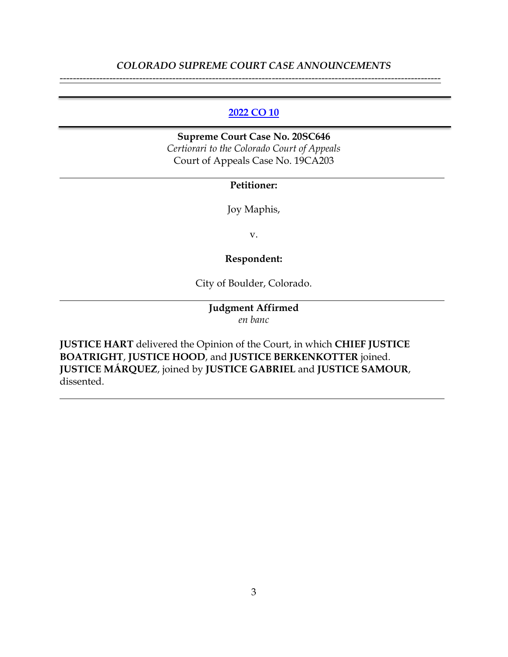# *COLORADO SUPREME COURT CASE ANNOUNCEMENTS* -------------------------------------------------------------------------------------------------------------------

### **[2022 CO 10](https://www.courts.state.co.us/userfiles/file/Court_Probation/Supreme_Court/Opinions/2020/20SC646.pdf)**

**Supreme Court Case No. 20SC646** *Certiorari to the Colorado Court of Appeals* Court of Appeals Case No. 19CA203

#### **Petitioner:**

Joy Maphis,

v.

# **Respondent:**

City of Boulder, Colorado.

# **Judgment Affirmed** *en banc*

**JUSTICE HART** delivered the Opinion of the Court, in which **CHIEF JUSTICE BOATRIGHT**, **JUSTICE HOOD**, and **JUSTICE BERKENKOTTER** joined. **JUSTICE MÁRQUEZ**, joined by **JUSTICE GABRIEL** and **JUSTICE SAMOUR**, dissented.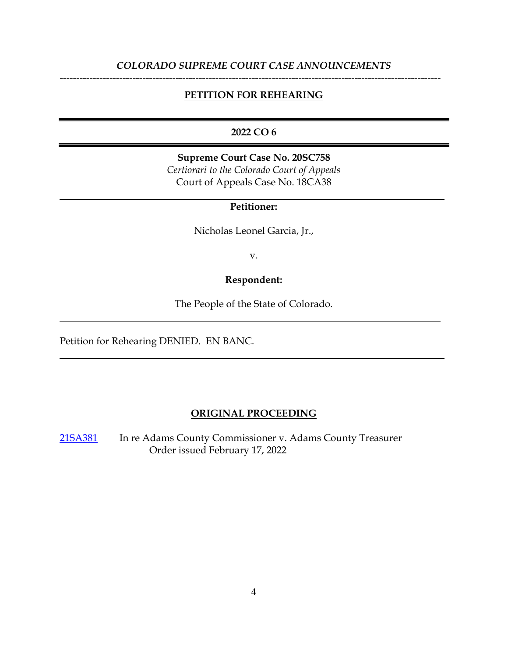# *COLORADO SUPREME COURT CASE ANNOUNCEMENTS* -------------------------------------------------------------------------------------------------------------------

### **PETITION FOR REHEARING**

# **2022 CO 6**

**Supreme Court Case No. 20SC758** *Certiorari to the Colorado Court of Appeals* Court of Appeals Case No. 18CA38

### **Petitioner:**

Nicholas Leonel Garcia, Jr.,

v.

#### **Respondent:**

The People of the State of Colorado.

Petition for Rehearing DENIED. EN BANC.

#### **ORIGINAL PROCEEDING**

[21SA381](https://www.courts.state.co.us/Courts/Supreme_Court/Proceedings/Index.cfm) In re Adams County Commissioner v. Adams County Treasurer Order issued February 17, 2022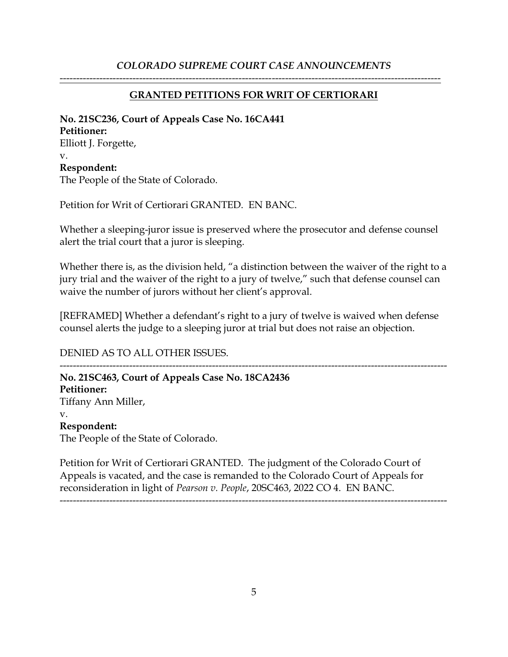# *COLORADO SUPREME COURT CASE ANNOUNCEMENTS*

## **GRANTED PETITIONS FOR WRIT OF CERTIORARI**

-------------------------------------------------------------------------------------------------------------------

# **No. 21SC236, Court of Appeals Case No. 16CA441 Petitioner:** Elliott J. Forgette, v. **Respondent:** The People of the State of Colorado.

Petition for Writ of Certiorari GRANTED. EN BANC.

Whether a sleeping-juror issue is preserved where the prosecutor and defense counsel alert the trial court that a juror is sleeping.

Whether there is, as the division held, "a distinction between the waiver of the right to a jury trial and the waiver of the right to a jury of twelve," such that defense counsel can waive the number of jurors without her client's approval.

[REFRAMED] Whether a defendant's right to a jury of twelve is waived when defense counsel alerts the judge to a sleeping juror at trial but does not raise an objection.

### DENIED AS TO ALL OTHER ISSUES.

--------------------------------------------------------------------------------------------------------------------- **No. 21SC463, Court of Appeals Case No. 18CA2436 Petitioner:**  Tiffany Ann Miller, v. **Respondent:**  The People of the State of Colorado.

Petition for Writ of Certiorari GRANTED. The judgment of the Colorado Court of Appeals is vacated, and the case is remanded to the Colorado Court of Appeals for reconsideration in light of *Pearson v. People*, 20SC463, 2022 CO 4. EN BANC.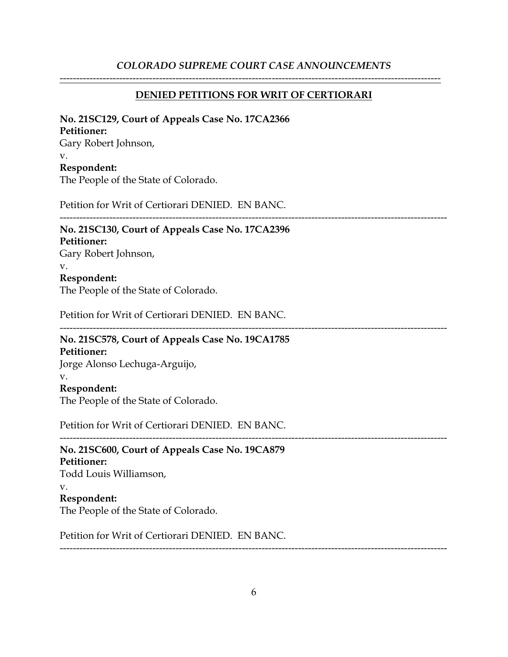# *COLORADO SUPREME COURT CASE ANNOUNCEMENTS*

### **DENIED PETITIONS FOR WRIT OF CERTIORARI**

-------------------------------------------------------------------------------------------------------------------

#### **No. 21SC129, Court of Appeals Case No. 17CA2366**

#### **Petitioner:**

Gary Robert Johnson, v. **Respondent:** The People of the State of Colorado.

Petition for Writ of Certiorari DENIED. EN BANC.

### --------------------------------------------------------------------------------------------------------------------- **No. 21SC130, Court of Appeals Case No. 17CA2396**

# **Petitioner:**

Gary Robert Johnson,

#### v.

### **Respondent:**

The People of the State of Colorado.

Petition for Writ of Certiorari DENIED. EN BANC.

# --------------------------------------------------------------------------------------------------------------------- **No. 21SC578, Court of Appeals Case No. 19CA1785**

**Petitioner:**

Jorge Alonso Lechuga-Arguijo,

### v.

# **Respondent:**

The People of the State of Colorado.

Petition for Writ of Certiorari DENIED. EN BANC.

--------------------------------------------------------------------------------------------------------------------- **No. 21SC600, Court of Appeals Case No. 19CA879 Petitioner:** Todd Louis Williamson, v. **Respondent:**

The People of the State of Colorado.

Petition for Writ of Certiorari DENIED. EN BANC.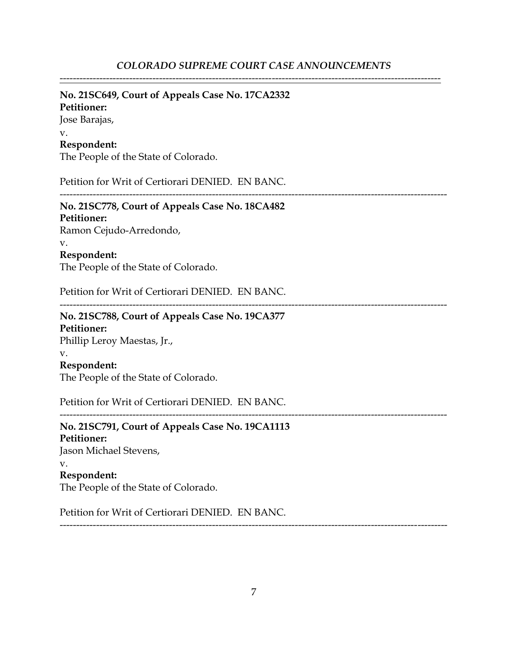### **No. 21SC649, Court of Appeals Case No. 17CA2332**

# **Petitioner:**

Jose Barajas,

#### v. **Respondent:**

The People of the State of Colorado.

Petition for Writ of Certiorari DENIED. EN BANC.

---------------------------------------------------------------------------------------------------------------------

#### **No. 21SC778, Court of Appeals Case No. 18CA482 Petitioner:**

Ramon Cejudo-Arredondo,

# v.

**Respondent:**

The People of the State of Colorado.

Petition for Writ of Certiorari DENIED. EN BANC.

# **No. 21SC788, Court of Appeals Case No. 19CA377 Petitioner:**

Phillip Leroy Maestas, Jr.,

#### v.

# **Respondent:**

The People of the State of Colorado.

Petition for Writ of Certiorari DENIED. EN BANC.

---------------------------------------------------------------------------------------------------------------------

---------------------------------------------------------------------------------------------------------------------

# **No. 21SC791, Court of Appeals Case No. 19CA1113 Petitioner:** Jason Michael Stevens, v. **Respondent:** The People of the State of Colorado.

Petition for Writ of Certiorari DENIED. EN BANC.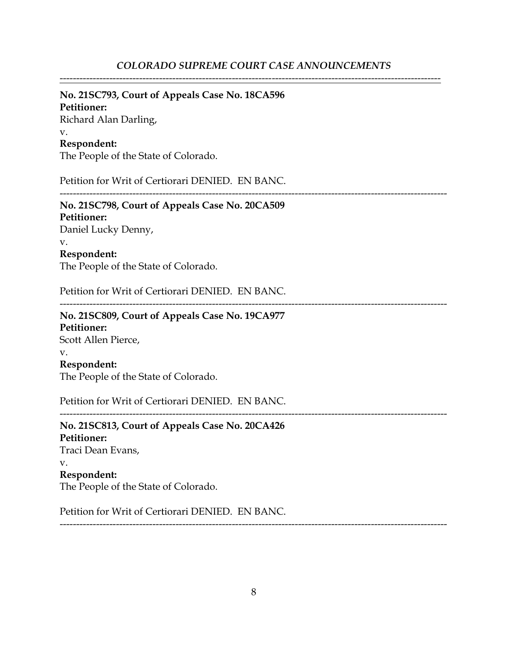# **No. 21SC793, Court of Appeals Case No. 18CA596**

**Petitioner:** Richard Alan Darling, v. **Respondent:**

The People of the State of Colorado.

Petition for Writ of Certiorari DENIED. EN BANC.

---------------------------------------------------------------------------------------------------------------------

**No. 21SC798, Court of Appeals Case No. 20CA509 Petitioner:** Daniel Lucky Denny, v.

**Respondent:**

The People of the State of Colorado.

Petition for Writ of Certiorari DENIED. EN BANC.

---------------------------------------------------------------------------------------------------------------------

**No. 21SC809, Court of Appeals Case No. 19CA977 Petitioner:** Scott Allen Pierce, v. **Respondent:** The People of the State of Colorado.

Petition for Writ of Certiorari DENIED. EN BANC.

---------------------------------------------------------------------------------------------------------------------

**No. 21SC813, Court of Appeals Case No. 20CA426 Petitioner:** Traci Dean Evans, v. **Respondent:** The People of the State of Colorado.

Petition for Writ of Certiorari DENIED. EN BANC.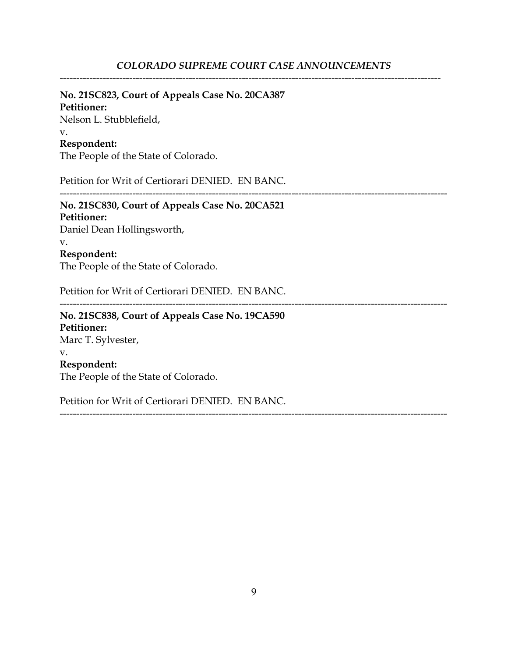# **No. 21SC823, Court of Appeals Case No. 20CA387**

**Petitioner:** Nelson L. Stubblefield, v.

### **Respondent:**

The People of the State of Colorado.

Petition for Writ of Certiorari DENIED. EN BANC.

---------------------------------------------------------------------------------------------------------------------

# **No. 21SC830, Court of Appeals Case No. 20CA521 Petitioner:**

Daniel Dean Hollingsworth,

#### v.

**Respondent:**

The People of the State of Colorado.

Petition for Writ of Certiorari DENIED. EN BANC.

---------------------------------------------------------------------------------------------------------------------

---------------------------------------------------------------------------------------------------------------------

# **No. 21SC838, Court of Appeals Case No. 19CA590 Petitioner:** Marc T. Sylvester, v. **Respondent:** The People of the State of Colorado.

Petition for Writ of Certiorari DENIED. EN BANC.